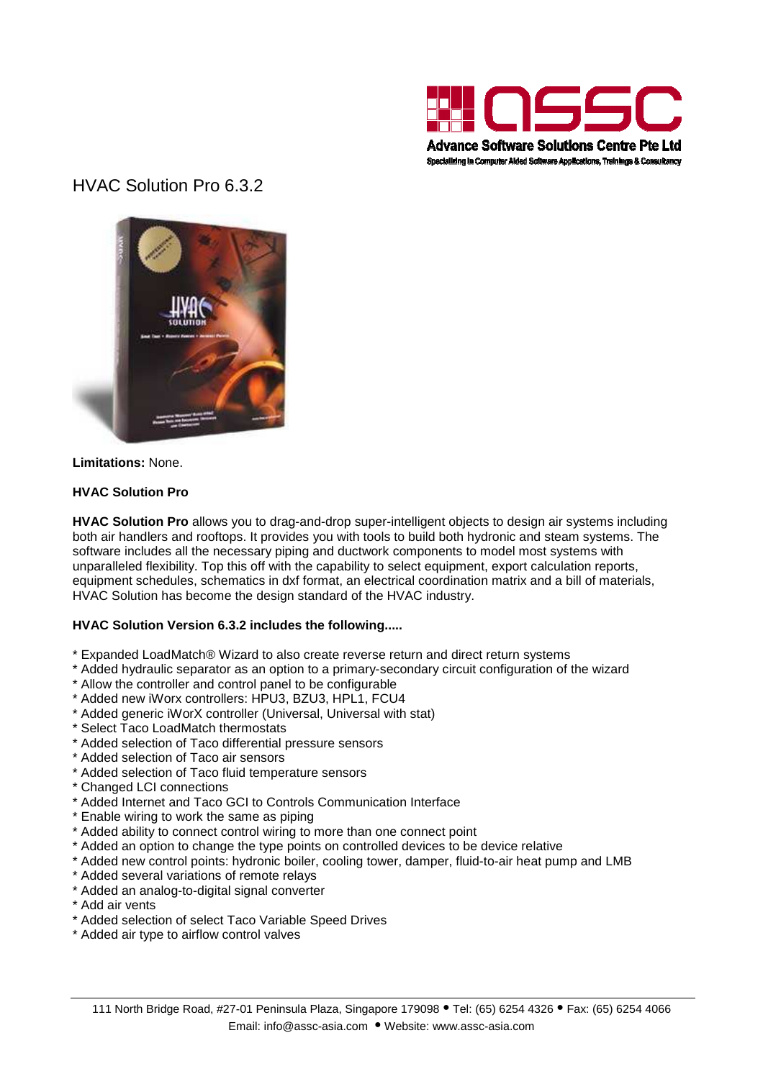

# HVAC Solution Pro 6.3.2



**Limitations:** None.

# **HVAC Solution Pro**

**HVAC Solution Pro** allows you to drag-and-drop super-intelligent objects to design air systems including both air handlers and rooftops. It provides you with tools to build both hydronic and steam systems. The software includes all the necessary piping and ductwork components to model most systems with unparalleled flexibility. Top this off with the capability to select equipment, export calculation reports, equipment schedules, schematics in dxf format, an electrical coordination matrix and a bill of materials, HVAC Solution has become the design standard of the HVAC industry.

#### **HVAC Solution Version 6.3.2 includes the following.....**

- \* Expanded LoadMatch® Wizard to also create reverse return and direct return systems
- \* Added hydraulic separator as an option to a primary-secondary circuit configuration of the wizard
- \* Allow the controller and control panel to be configurable
- \* Added new iWorx controllers: HPU3, BZU3, HPL1, FCU4
- \* Added generic iWorX controller (Universal, Universal with stat)
- \* Select Taco LoadMatch thermostats
- \* Added selection of Taco differential pressure sensors
- \* Added selection of Taco air sensors
- \* Added selection of Taco fluid temperature sensors
- \* Changed LCI connections
- \* Added Internet and Taco GCI to Controls Communication Interface
- \* Enable wiring to work the same as piping
- \* Added ability to connect control wiring to more than one connect point
- \* Added an option to change the type points on controlled devices to be device relative
- \* Added new control points: hydronic boiler, cooling tower, damper, fluid-to-air heat pump and LMB
- \* Added several variations of remote relays
- \* Added an analog-to-digital signal converter
- \* Add air vents
- \* Added selection of select Taco Variable Speed Drives
- \* Added air type to airflow control valves